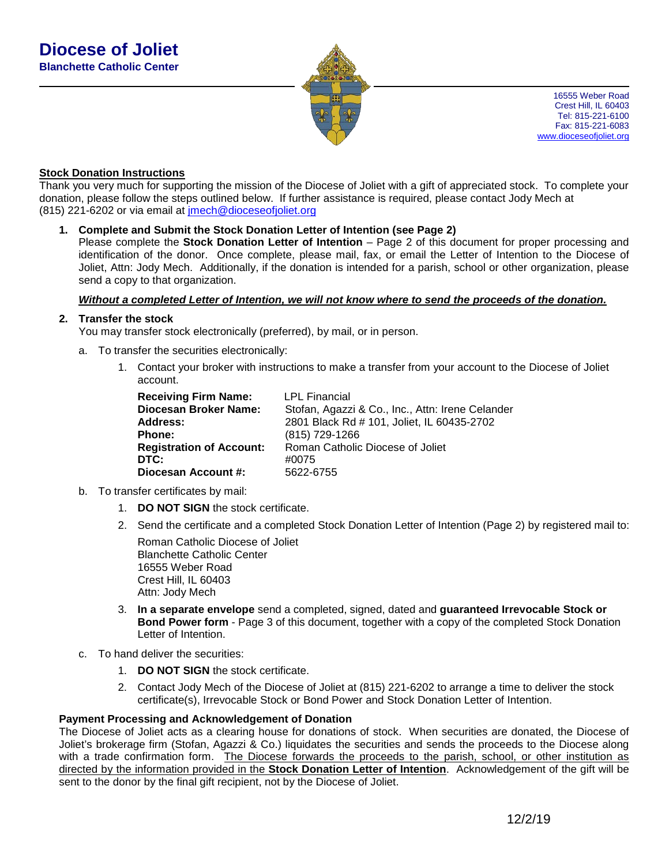

16555 Weber Road Crest Hill, IL 60403 Tel: 815-221-6100 Fax: 815-221-6083 [www.dioceseofjoliet.org](http://www.dioceseofjoliet.org/)

#### **Stock Donation Instructions**

Thank you very much for supporting the mission of the Diocese of Joliet with a gift of appreciated stock. To complete your donation, please follow the steps outlined below. If further assistance is required, please contact Jody Mech at (815) 221-6202 or via email at [jmech@dioceseofjoliet.org](mailto:jmech@dioceseofjoliet.org)

#### **1. Complete and Submit the Stock Donation Letter of Intention (see Page 2)**

Please complete the **Stock Donation Letter of Intention** – Page 2 of this document for proper processing and identification of the donor. Once complete, please mail, fax, or email the Letter of Intention to the Diocese of Joliet, Attn: Jody Mech. Additionally, if the donation is intended for a parish, school or other organization, please send a copy to that organization.

#### *Without a completed Letter of Intention, we will not know where to send the proceeds of the donation.*

#### **2. Transfer the stock**

You may transfer stock electronically (preferred), by mail, or in person.

- a. To transfer the securities electronically:
	- 1. Contact your broker with instructions to make a transfer from your account to the Diocese of Joliet account.

| <b>Receiving Firm Name:</b>     | <b>LPL Financial</b>                             |
|---------------------------------|--------------------------------------------------|
| Diocesan Broker Name:           | Stofan, Agazzi & Co., Inc., Attn: Irene Celander |
| Address:                        | 2801 Black Rd # 101, Joliet, IL 60435-2702       |
| <b>Phone:</b>                   | (815) 729-1266                                   |
| <b>Registration of Account:</b> | Roman Catholic Diocese of Joliet                 |
| DTC:                            | #0075                                            |
| Diocesan Account #:             | 5622-6755                                        |

- b. To transfer certificates by mail:
	- 1. **DO NOT SIGN** the stock certificate.
	- 2. Send the certificate and a completed Stock Donation Letter of Intention (Page 2) by registered mail to:

Roman Catholic Diocese of Joliet Blanchette Catholic Center 16555 Weber Road Crest Hill, IL 60403 Attn: Jody Mech

- 3. **In a separate envelope** send a completed, signed, dated and **guaranteed Irrevocable Stock or Bond Power form** - Page 3 of this document, together with a copy of the completed Stock Donation Letter of Intention.
- c. To hand deliver the securities:
	- 1. **DO NOT SIGN** the stock certificate.
	- 2. Contact Jody Mech of the Diocese of Joliet at (815) 221-6202 to arrange a time to deliver the stock certificate(s), Irrevocable Stock or Bond Power and Stock Donation Letter of Intention.

#### **Payment Processing and Acknowledgement of Donation**

The Diocese of Joliet acts as a clearing house for donations of stock. When securities are donated, the Diocese of Joliet's brokerage firm (Stofan, Agazzi & Co.) liquidates the securities and sends the proceeds to the Diocese along with a trade confirmation form. The Diocese forwards the proceeds to the parish, school, or other institution as directed by the information provided in the **Stock Donation Letter of Intention**. Acknowledgement of the gift will be sent to the donor by the final gift recipient, not by the Diocese of Joliet.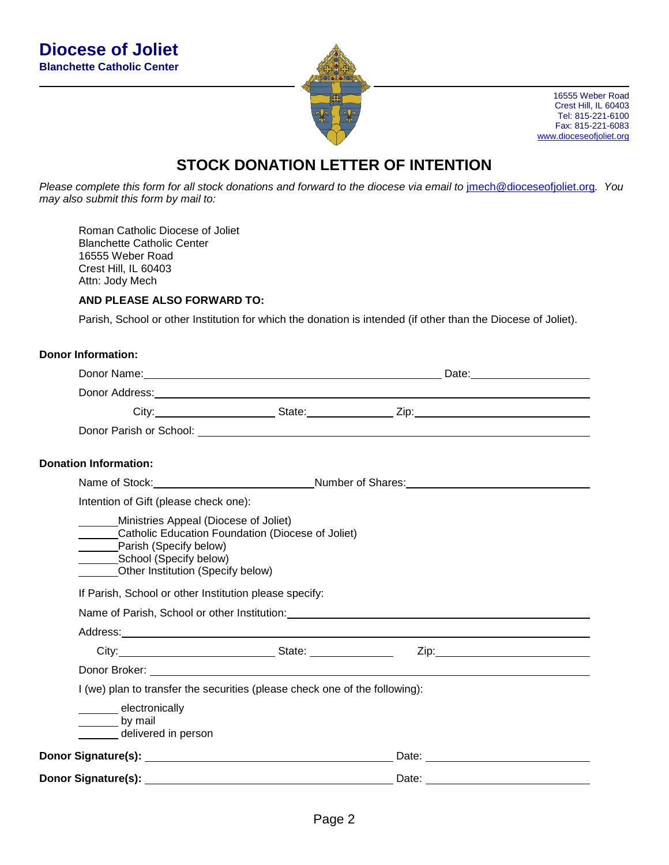

16555 Weber Road Crest Hill, IL 60403 Tel: 815-221-6100 Fax: 815-221-6083 [www.dioceseofjoliet.org](http://www.dioceseofjoliet.org/)

# **STOCK DONATION LETTER OF INTENTION**

*Please complete this form for all stock donations and forward to the diocese via email to* [jmech@dioceseofjoliet.org](mailto:jmech@dioceseofjoliet.org)*. You may also submit this form by mail to:*

Roman Catholic Diocese of Joliet Blanchette Catholic Center 16555 Weber Road Crest Hill, IL 60403 Attn: Jody Mech

### **AND PLEASE ALSO FORWARD TO:**

Parish, School or other Institution for which the donation is intended (if other than the Diocese of Joliet).

## **Donor Information:**

|                                                                                                                                                                                                                                               | Donor Address: Note that the contract of the contract of the contract of the contract of the contract of the contract of the contract of the contract of the contract of the contract of the contract of the contract of the c |  |
|-----------------------------------------------------------------------------------------------------------------------------------------------------------------------------------------------------------------------------------------------|--------------------------------------------------------------------------------------------------------------------------------------------------------------------------------------------------------------------------------|--|
|                                                                                                                                                                                                                                               |                                                                                                                                                                                                                                |  |
|                                                                                                                                                                                                                                               |                                                                                                                                                                                                                                |  |
| <b>Donation Information:</b>                                                                                                                                                                                                                  |                                                                                                                                                                                                                                |  |
|                                                                                                                                                                                                                                               | Name of Stock: Name of Stock: Number of Shares: Number of Shares: Number of Shares: Number of Shares: Number of Shares: Number of Shares: Number of Shares: Number of Shares: Number of Shares: Number of Shares: Number of Sh |  |
| Intention of Gift (please check one):                                                                                                                                                                                                         |                                                                                                                                                                                                                                |  |
| Ministries Appeal (Diocese of Joliet)<br>Catholic Education Foundation (Diocese of Joliet)<br>Parish (Specify below)<br>School (Specify below)<br>Other Institution (Specify below)<br>If Parish, School or other Institution please specify: |                                                                                                                                                                                                                                |  |
| Address: Address: Address: Address: Address: Address: Address: Address: Address: Address: Address: A                                                                                                                                          |                                                                                                                                                                                                                                |  |
|                                                                                                                                                                                                                                               |                                                                                                                                                                                                                                |  |
|                                                                                                                                                                                                                                               |                                                                                                                                                                                                                                |  |
| I (we) plan to transfer the securities (please check one of the following):                                                                                                                                                                   |                                                                                                                                                                                                                                |  |
| electronically<br>by mail<br>delivered in person                                                                                                                                                                                              |                                                                                                                                                                                                                                |  |
|                                                                                                                                                                                                                                               | Date: <u>_________________________________</u>                                                                                                                                                                                 |  |
|                                                                                                                                                                                                                                               |                                                                                                                                                                                                                                |  |